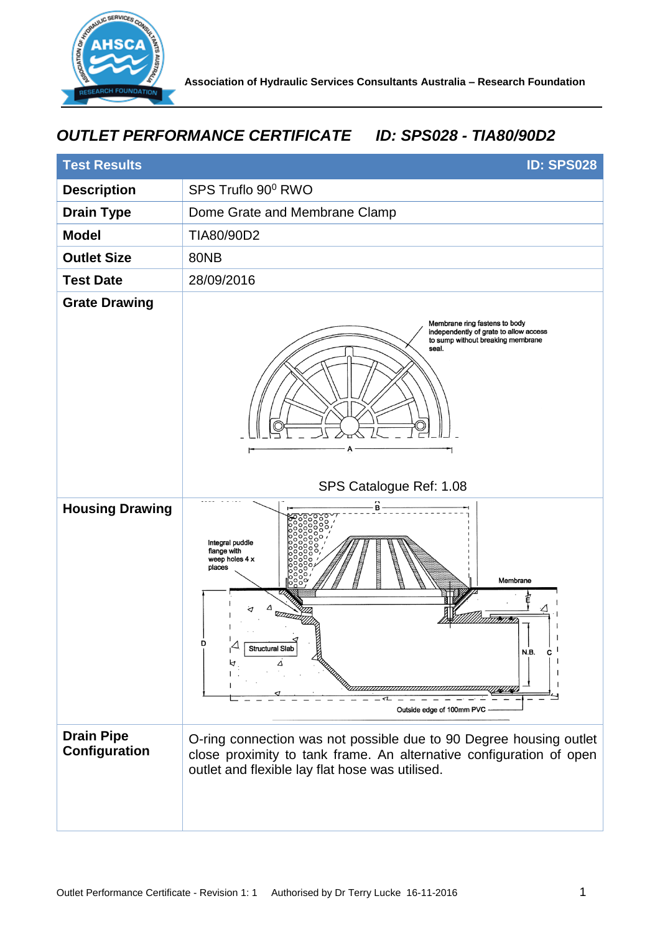

## *OUTLET PERFORMANCE CERTIFICATE ID: SPS028 - TIA80/90D2*